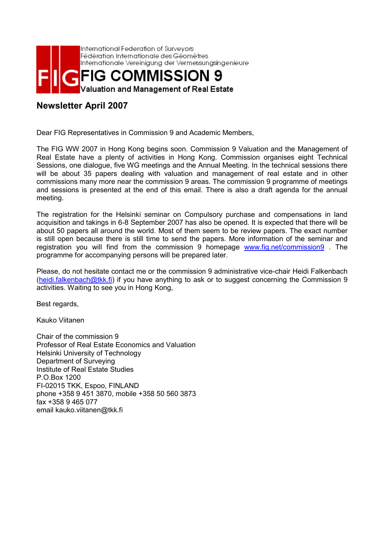

## **Newsletter April 2007**

Dear FIG Representatives in Commission 9 and Academic Members,

The FIG WW 2007 in Hong Kong begins soon. Commission 9 Valuation and the Management of Real Estate have a plenty of activities in Hong Kong. Commission organises eight Technical Sessions, one dialogue, five WG meetings and the Annual Meeting. In the technical sessions there will be about 35 papers dealing with valuation and management of real estate and in other commissions many more near the commission 9 areas. The commission 9 programme of meetings and sessions is presented at the end of this email. There is also a draft agenda for the annual meeting.

The registration for the Helsinki seminar on Compulsory purchase and compensations in land acquisition and takings in 6-8 September 2007 has also be opened. It is expected that there will be about 50 papers all around the world. Most of them seem to be review papers. The exact number is still open because there is still time to send the papers. More information of the seminar and registration you will find from the commission 9 homepage www.fig.net/commission9 . The programme for accompanying persons will be prepared later.

Please, do not hesitate contact me or the commission 9 administrative vice-chair Heidi Falkenbach (heidi.falkenbach@tkk.fi) if you have anything to ask or to suggest concerning the Commission 9 activities. Waiting to see you in Hong Kong,

Best regards,

Kauko Viitanen

Chair of the commission 9 Professor of Real Estate Economics and Valuation Helsinki University of Technology Department of Surveying Institute of Real Estate Studies P.O.Box 1200 FI-02015 TKK, Espoo, FINLAND phone +358 9 451 3870, mobile +358 50 560 3873 fax +358 9 465 077 email kauko.viitanen@tkk.fi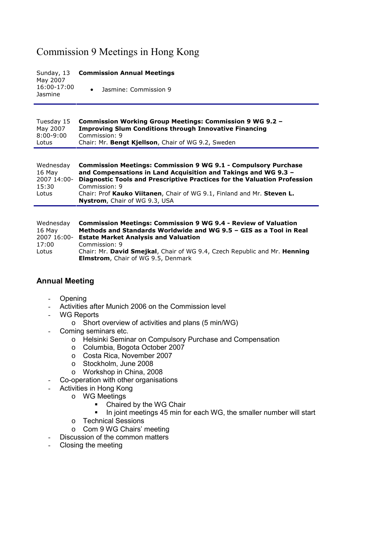# Commission 9 Meetings in Hong Kong

#### Sunday, 13 May 2007 16:00-17:00 **Jasmine Commission Annual Meetings** • Jasmine: Commission 9

#### Tuesday 15 May 2007 8:00-9:00 Lotus **Commission Working Group Meetings: Commission 9 WG 9.2 – Improving Slum Conditions through Innovative Financing** Commission: 9 Chair: Mr. **Bengt Kjellson**, Chair of WG 9.2, Sweden

| Wednesday   | <b>Commission Meetings: Commission 9 WG 9.1 - Compulsory Purchase</b>    |
|-------------|--------------------------------------------------------------------------|
| 16 May      | and Compensations in Land Acquisition and Takings and WG 9.3 -           |
| 2007 14:00- | Diagnostic Tools and Prescriptive Practices for the Valuation Profession |
| 15:30       | Commission: 9                                                            |
| Lotus       | Chair: Prof Kauko Viitanen, Chair of WG 9.1, Finland and Mr. Steven L.   |
|             | <b>Nystrom, Chair of WG 9.3, USA</b>                                     |

| Wednesdav   | <b>Commission Meetings: Commission 9 WG 9.4 - Review of Valuation</b>     |
|-------------|---------------------------------------------------------------------------|
| 16 May      | Methods and Standards Worldwide and WG 9.5 - GIS as a Tool in Real        |
| 2007 16:00- | <b>Estate Market Analysis and Valuation</b>                               |
| 17:00       | Commission: 9                                                             |
| Lotus       | Chair: Mr. David Smejkal, Chair of WG 9.4, Czech Republic and Mr. Henning |
|             | <b>Elmstrom, Chair of WG 9.5, Denmark</b>                                 |

## **Annual Meeting**

- Opening
- Activities after Munich 2006 on the Commission level
- WG Reports
	- o Short overview of activities and plans (5 min/WG)
- Coming seminars etc.
	- o Helsinki Seminar on Compulsory Purchase and Compensation
	- o Columbia, Bogota October 2007
	- o Costa Rica, November 2007
	- o Stockholm, June 2008
	- o Workshop in China, 2008
- Co-operation with other organisations
- Activities in Hong Kong
	- o WG Meetings
		- Chaired by the WG Chair
		- In joint meetings 45 min for each WG, the smaller number will start
	- o Technical Sessions
	- o Com 9 WG Chairs' meeting
- Discussion of the common matters
- Closing the meeting